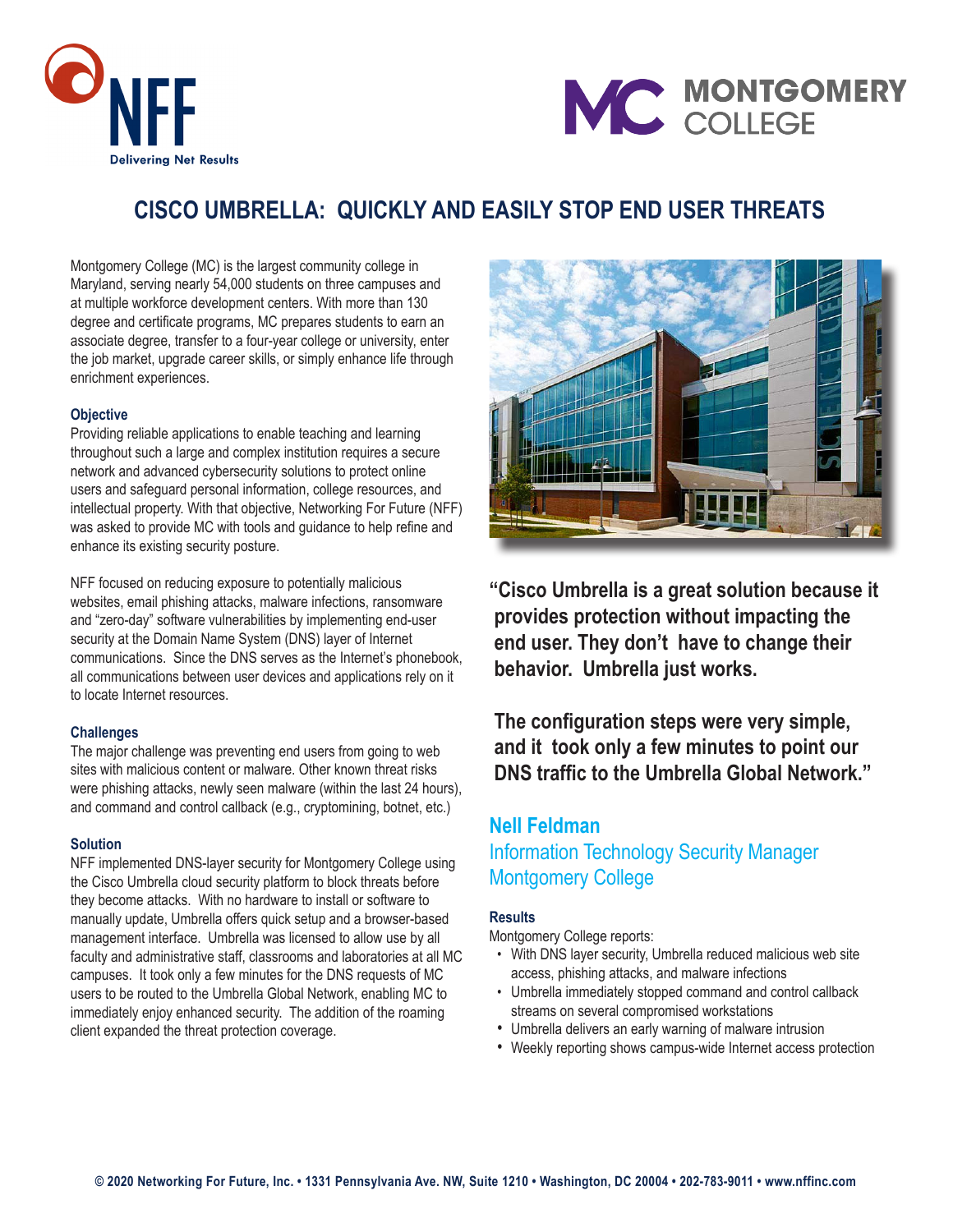



# **CISCO UMBRELLA: QUICKLY AND EASILY STOP END USER THREATS**

Montgomery College (MC) is the largest community college in Maryland, serving nearly 54,000 students on three campuses and at multiple workforce development centers. With more than 130 degree and certificate programs, MC prepares students to earn an associate degree, transfer to a four-year college or university, enter the job market, upgrade career skills, or simply enhance life through enrichment experiences.

#### **Objective**

Providing reliable applications to enable teaching and learning throughout such a large and complex institution requires a secure network and advanced cybersecurity solutions to protect online users and safeguard personal information, college resources, and intellectual property. With that objective, Networking For Future (NFF) was asked to provide MC with tools and guidance to help refine and enhance its existing security posture.

NFF focused on reducing exposure to potentially malicious websites, email phishing attacks, malware infections, ransomware and "zero-day" software vulnerabilities by implementing end-user security at the Domain Name System (DNS) layer of Internet communications. Since the DNS serves as the Internet's phonebook, all communications between user devices and applications rely on it to locate Internet resources.

#### **Challenges**

The major challenge was preventing end users from going to web sites with malicious content or malware. Other known threat risks were phishing attacks, newly seen malware (within the last 24 hours), and command and control callback (e.g., cryptomining, botnet, etc.)

#### **Solution**

NFF implemented DNS-layer security for Montgomery College using the Cisco Umbrella cloud security platform to block threats before they become attacks. With no hardware to install or software to manually update, Umbrella offers quick setup and a browser-based management interface. Umbrella was licensed to allow use by all faculty and administrative staff, classrooms and laboratories at all MC campuses. It took only a few minutes for the DNS requests of MC users to be routed to the Umbrella Global Network, enabling MC to immediately enjoy enhanced security. The addition of the roaming client expanded the threat protection coverage.



**"Cisco Umbrella is a great solution because it provides protection without impacting the end user. They don't have to change their behavior. Umbrella just works.**

 **The configuration steps were very simple, and it took only a few minutes to point our DNS traffic to the Umbrella Global Network."**

## **Nell Feldman** Information Technology Security Manager Montgomery College

### **Results**

Montgomery College reports:

- With DNS layer security, Umbrella reduced malicious web site access, phishing attacks, and malware infections
- Umbrella immediately stopped command and control callback streams on several compromised workstations
- Umbrella delivers an early warning of malware intrusion
- Weekly reporting shows campus-wide Internet access protection